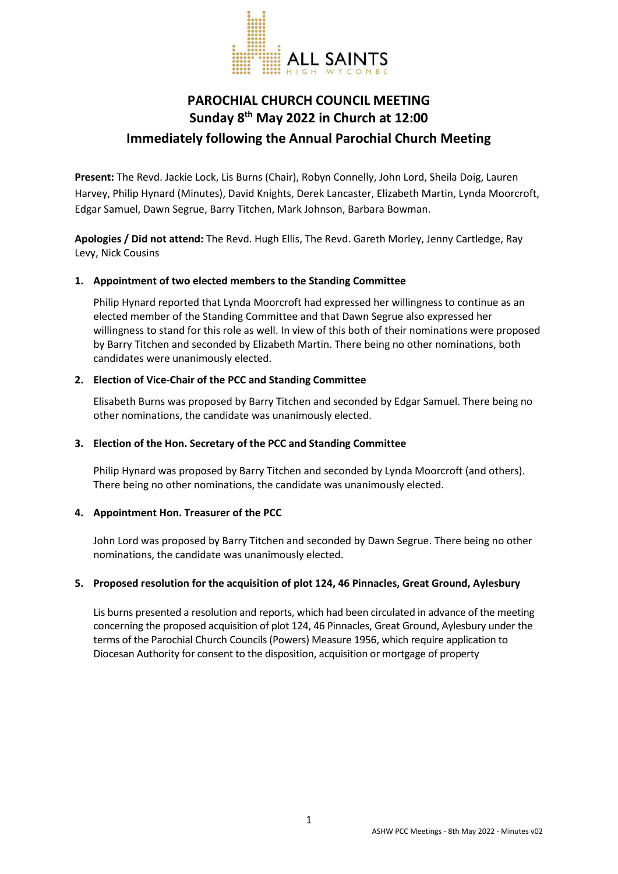

# **PAROCHIAL CHURCH COUNCIL MEETING Sunday 8th May 2022 in Church at 12:00 Immediately following the Annual Parochial Church Meeting**

**Present:** The Revd. Jackie Lock, Lis Burns (Chair), Robyn Connelly, John Lord, Sheila Doig, Lauren Harvey, Philip Hynard (Minutes), David Knights, Derek Lancaster, Elizabeth Martin, Lynda Moorcroft, Edgar Samuel, Dawn Segrue, Barry Titchen, Mark Johnson, Barbara Bowman.

**Apologies / Did not attend:** The Revd. Hugh Ellis, The Revd. Gareth Morley, Jenny Cartledge, Ray Levy, Nick Cousins

## **1. Appointment of two elected members to the Standing Committee**

Philip Hynard reported that Lynda Moorcroft had expressed her willingness to continue as an elected member of the Standing Committee and that Dawn Segrue also expressed her willingness to stand for this role as well. In view of this both of their nominations were proposed by Barry Titchen and seconded by Elizabeth Martin. There being no other nominations, both candidates were unanimously elected.

## **2. Election of Vice-Chair of the PCC and Standing Committee**

Elisabeth Burns was proposed by Barry Titchen and seconded by Edgar Samuel. There being no other nominations, the candidate was unanimously elected.

### **3. Election of the Hon. Secretary of the PCC and Standing Committee**

Philip Hynard was proposed by Barry Titchen and seconded by Lynda Moorcroft (and others). There being no other nominations, the candidate was unanimously elected.

#### **4. Appointment Hon. Treasurer of the PCC**

John Lord was proposed by Barry Titchen and seconded by Dawn Segrue. There being no other nominations, the candidate was unanimously elected.

#### **5. Proposed resolution for the acquisition of plot 124, 46 Pinnacles, Great Ground, Aylesbury**

Lis burns presented a resolution and reports, which had been circulated in advance of the meeting concerning the proposed acquisition of plot 124, 46 Pinnacles, Great Ground, Aylesbury under the terms of the Parochial Church Councils (Powers) Measure 1956, which require application to Diocesan Authority for consent to the disposition, acquisition or mortgage of property